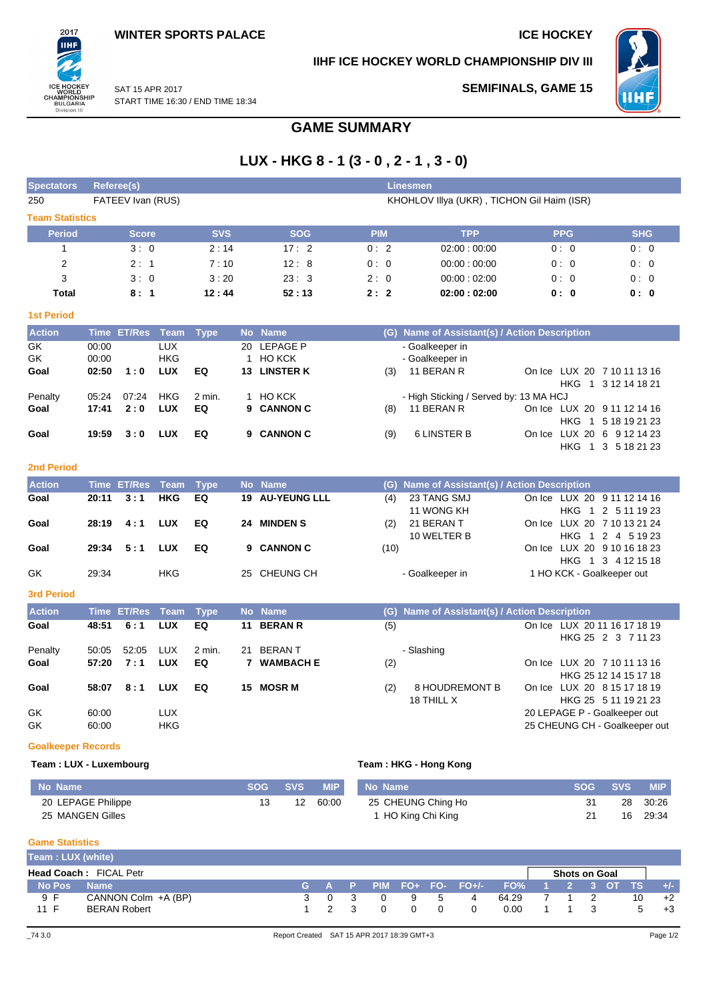**SEMIFINALS, GAME 15**

**IIHF ICE HOCKEY WORLD CHAMPIONSHIP DIV III**



ICE HOCKEY<br>WORLD<br>CHAMPIONSHIP<br>BULGARIA<br>Division III SAT 15 APR 2017 START TIME 16:30 / END TIME 18:34

# **GAME SUMMARY**

# **LUX - HKG 8 - 1 (3 - 0 , 2 - 1 , 3 - 0)**

| <b>Spectators</b>      |       | Referee(s)            |            |            |    |               |            | Linesmen                                         |            |            |
|------------------------|-------|-----------------------|------------|------------|----|---------------|------------|--------------------------------------------------|------------|------------|
| 250                    |       | FATEEV Ivan (RUS)     |            |            |    |               |            | KHOHLOV IIIya (UKR), TICHON Gil Haim (ISR)       |            |            |
| <b>Team Statistics</b> |       |                       |            |            |    |               |            |                                                  |            |            |
| <b>Period</b>          |       | <b>Score</b>          |            | <b>SVS</b> |    | <b>SOG</b>    | <b>PIM</b> | <b>TPP</b>                                       | <b>PPG</b> | <b>SHG</b> |
|                        |       | 3:0                   |            | 2:14       |    | 17:2          | 0:2        | 02:00:00:00                                      | 0:0        | 0:0        |
| $\overline{2}$         |       | 2:1                   |            | 7:10       |    | 12:8          | 0:0        | 00:00:00:00                                      | 0:0        | 0:0        |
| 3                      |       | 3:0                   |            | 3:20       |    | 23:3          | 2:0        | 00:00:02:00                                      | 0:0        | 0:0        |
| <b>Total</b>           |       | 8:1                   |            | 12:44      |    | 52:13         | 2:2        | 02:00:02:00                                      | 0: 0       | 0: 0       |
| <b>1st Period</b>      |       |                       |            |            |    |               |            |                                                  |            |            |
| <b>Action</b>          |       | Time ET/Res Team Type |            |            |    | No Name       | (G)        | <b>Name of Assistant(s) / Action Description</b> |            |            |
| GK                     | 00:00 |                       | <b>LUX</b> |            | 20 | LEPAGE P      |            | - Goalkeeper in                                  |            |            |
| GK                     | 00:00 |                       | <b>HKG</b> |            |    | <b>HO KCK</b> |            | - Goalkeeper in                                  |            |            |

| GK.     | 00:00 |       | <b>HKG</b> |        | 1 HO KCK     |     | - Goalkeeper in                        |  |                             |
|---------|-------|-------|------------|--------|--------------|-----|----------------------------------------|--|-----------------------------|
| Goal    | 02:50 | 1:0   | LUX        | EQ     | 13 LINSTER K | (3) | 11 BERAN R                             |  | On Ice LUX 20 7 10 11 13 16 |
|         |       |       |            |        |              |     |                                        |  | HKG 1 3 12 14 18 21         |
| Penalty | 05:24 | 07:24 | <b>HKG</b> | 2 min. | 1 HO KCK     |     | - High Sticking / Served by: 13 MA HCJ |  |                             |
| Goal    | 17:41 | 2:0   | LUX        | EQ     | 9 CANNON C   | (8) | 11 BERAN R                             |  | On Ice LUX 20 9 11 12 14 16 |
|         |       |       |            |        |              |     |                                        |  | HKG 1 5 18 19 21 23         |
| Goal    | 19:59 | 3:0   | <b>LUX</b> | EQ     | 9 CANNON C   | (9) | 6 LINSTER B                            |  | On Ice LUX 20 6 9 12 14 23  |
|         |       |       |            |        |              |     |                                        |  | HKG 1 3 5 18 21 23          |

### **2nd Period**

2017 **IIHF** 

| <b>Action</b> |       | Time ET/Res Team Type |            |    | No Name                |      | (G) Name of Assistant(s) / Action Description |                                                   |
|---------------|-------|-----------------------|------------|----|------------------------|------|-----------------------------------------------|---------------------------------------------------|
| Goal          | 20:11 | 3:1                   | HKG        | EQ | <b>19 AU-YEUNG LLL</b> | (4)  | 23 TANG SMJ<br>11 WONG KH                     | On Ice LUX 20 9 11 12 14 16<br>HKG 1 2 5 11 19 23 |
| Goal          | 28:19 | 4:1                   | <b>LUX</b> | EQ | 24 MINDEN S            | (2)  | 21 BERAN T<br>10 WELTER B                     | On Ice LUX 20 7 10 13 21 24<br>HKG 1 2 4 5 19 23  |
| Goal          | 29:34 | 5:1                   | <b>LUX</b> | EQ | 9 CANNON C             | (10) |                                               | On Ice LUX 20 9 10 16 18 23<br>HKG 1 3 4 12 15 18 |
| GK            | 29.34 |                       | <b>HKG</b> |    | 25 CHEUNG CH           |      | - Goalkeeper in                               | 1 HO KCK - Goalkeeper out                         |

### **3rd Period**

| <b>Action</b> |       | Time ET/Res Team Type |            |        |    | No Name          |     | (G) Name of Assistant(s) / Action Description |                                                    |
|---------------|-------|-----------------------|------------|--------|----|------------------|-----|-----------------------------------------------|----------------------------------------------------|
| Goal          | 48:51 | 6:1                   | <b>LUX</b> | EQ     |    | 11 BERAN R       | (5) |                                               | On Ice LUX 20 11 16 17 18 19<br>HKG 25 2 3 7 11 23 |
| Penalty       | 50:05 | 52:05                 | LUX        | 2 min. | 21 | BERAN T          |     | - Slashing                                    |                                                    |
| Goal          | 57:20 | 7:1                   | <b>LUX</b> | EQ     |    | <b>WAMBACH E</b> | (2) |                                               | On Ice LUX 20 7 10 11 13 16                        |
|               |       |                       |            |        |    |                  |     |                                               | HKG 25 12 14 15 17 18                              |
| Goal          | 58:07 | 8:1                   | <b>LUX</b> | EQ     |    | 15 MOSR M        | (2) | 8 HOUDREMONT B                                | On Ice LUX 20 8 15 17 18 19                        |
|               |       |                       |            |        |    |                  |     | 18 THILL X                                    | HKG 25 5 11 19 21 23                               |
| GK            | 60:00 |                       | <b>LUX</b> |        |    |                  |     |                                               | 20 LEPAGE P - Goalkeeper out                       |
| GK            | 60:00 |                       | <b>HKG</b> |        |    |                  |     |                                               | 25 CHEUNG CH - Goalkeeper out                      |

#### **Goalkeeper Records**

### **Team : LUX - Luxembourg Team : HKG - Hong Kong**

| No Name            | ISOG SVS I | <b>MIP</b> | No Name                       | <b>SOG</b> | <b>SVS</b> | <b>MIP</b> |
|--------------------|------------|------------|-------------------------------|------------|------------|------------|
| 20 LEPAGE Philippe | 12         | 60:00      | 25 CHEUNG Ching Ho            | 31         |            | 28 30:26   |
| 25 MANGEN Gilles   |            |            | <sup>1</sup> HO King Chi King |            |            | 16 29:34   |

#### **Game Statistics**

| Team: LUX (white) |                        |  |  |          |          |   |                                         |                      |  |   |       |
|-------------------|------------------------|--|--|----------|----------|---|-----------------------------------------|----------------------|--|---|-------|
|                   | Head Coach: FICAL Petr |  |  |          |          |   |                                         | <b>Shots on Goal</b> |  |   |       |
| No Pos            | <b>Name</b>            |  |  |          |          |   | G A P PIM FO+ FO- FO+/- FO% 1 2 3 OT TS |                      |  |   | $+/-$ |
| 9 F               | CANNON Colm +A (BP)    |  |  |          | 9 5      | 4 | 64.29                                   |                      |  |   | $+2$  |
| 11 F              | <b>BERAN Robert</b>    |  |  | $\Omega$ | $\Omega$ |   | 0.00                                    |                      |  | 5 | $+3$  |